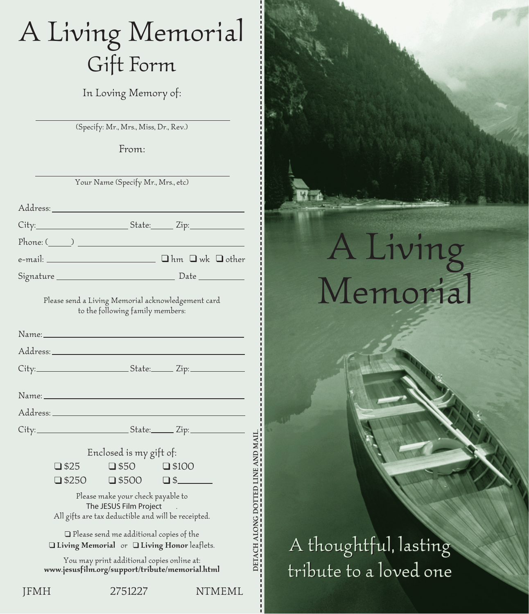## A Living Memorial Gift Form

In Loving Memory of:

(Specify: Mr., Mrs., Miss, Dr., Rev.)

From:

Your Name (Specify Mr., Mrs., etc)

| $Phone: (\_\_)$ |
|-----------------|
| e-mail: $\Box$  |
|                 |

Please send a Living Memorial acknowledgement card to the following family members:

|                                                                                                                     |                |                                                | City:_____________________________State:________ Zip:___________________________ |                                   |
|---------------------------------------------------------------------------------------------------------------------|----------------|------------------------------------------------|----------------------------------------------------------------------------------|-----------------------------------|
|                                                                                                                     |                | Enclosed is my gift of:                        |                                                                                  |                                   |
|                                                                                                                     | $\square$ \$25 | $\square$ \$50 $\square$ \$100                 |                                                                                  |                                   |
|                                                                                                                     |                |                                                | $\square$ \$250 $\square$ \$500 $\square$ \$                                     |                                   |
| Please make your check payable to<br>The JESUS Film Project.<br>All gifts are tax deductible and will be receipted. |                |                                                |                                                                                  |                                   |
|                                                                                                                     |                | $\Box$ Please send me additional copies of the | $\square$ Living Memorial or $\square$ Living Honor leaflets.                    | DETACH ALONG DOTTED LINE AND MAIL |
|                                                                                                                     |                | You may print additional copies online at:     | unuu jesustilm oralsunnort/tribute/memorial.html                                 |                                   |

You may print additional copies online at: www.jesusfilm.org/support/tribute/memorial.html

# A Living Memorial

### A thoughtful, lasting A thoughtful, lasting tribute to a loved one tribute to a loved one

JFMH 2751227 NTMEML